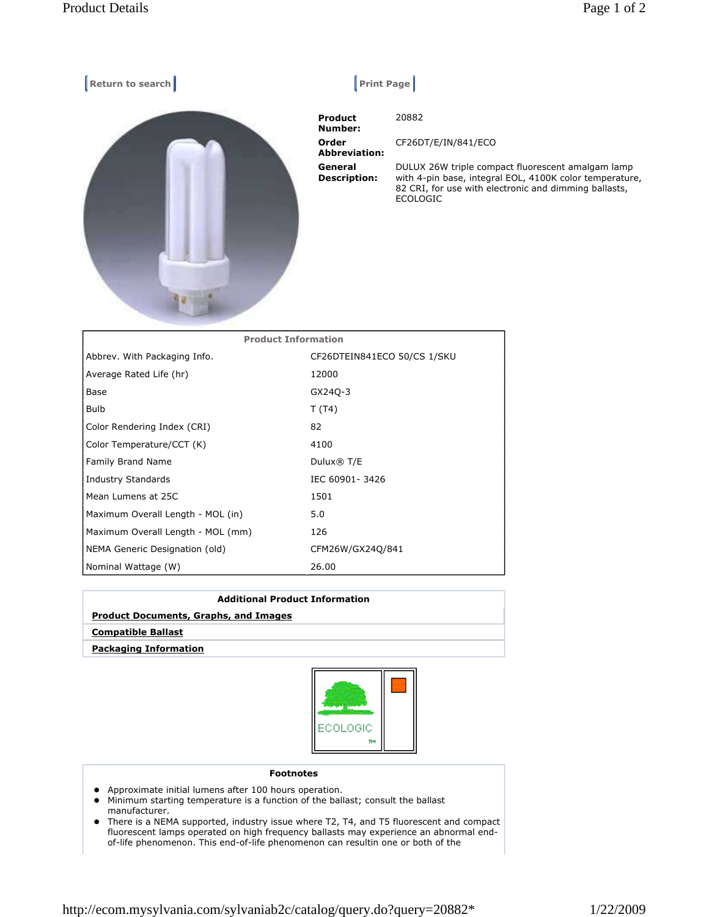| Return to search           | <b>Print Page</b>              |                                                                                                                                                                                          |
|----------------------------|--------------------------------|------------------------------------------------------------------------------------------------------------------------------------------------------------------------------------------|
|                            | <b>Product</b><br>Number:      | 20882                                                                                                                                                                                    |
|                            | Order<br><b>Abbreviation:</b>  | CF26DT/E/IN/841/ECO                                                                                                                                                                      |
|                            | General<br><b>Description:</b> | DULUX 26W triple compact fluorescent amalgam lamp<br>with 4-pin base, integral EOL, 4100K color temperature,<br>82 CRI, for use with electronic and dimming ballasts,<br><b>ECOLOGIC</b> |
| <b>Product Information</b> |                                |                                                                                                                                                                                          |

| Abbrev. With Packaging Info.      | CF26DTEIN841ECO 50/CS 1/SKU |
|-----------------------------------|-----------------------------|
| Average Rated Life (hr)           | 12000                       |
| Base                              | GX240-3                     |
| Bulb                              | T(T4)                       |
| Color Rendering Index (CRI)       | 82                          |
| Color Temperature/CCT (K)         | 4100                        |
| <b>Family Brand Name</b>          | Dulux® T/E                  |
| Industry Standards                | IEC 60901-3426              |
| Mean Lumens at 25C                | 1501                        |
| Maximum Overall Length - MOL (in) | 5.0                         |
| Maximum Overall Length - MOL (mm) | 126                         |
| NEMA Generic Designation (old)    | CFM26W/GX24Q/841            |
| Nominal Wattage (W)               | 26.00                       |

| <b>Additional Product Information</b>        |  |  |
|----------------------------------------------|--|--|
| <b>Product Documents, Graphs, and Images</b> |  |  |
| <b>Compatible Ballast</b>                    |  |  |
| <b>Packaging Information</b>                 |  |  |



## Footnotes

- Approximate initial lumens after 100 hours operation.
- Minimum starting temperature is a function of the ballast; consult the ballast manufacturer.
- There is a NEMA supported, industry issue where T2, T4, and T5 fluorescent and compact fluorescent lamps operated on high frequency ballasts may experience an abnormal endof-life phenomenon. This end-of-life phenomenon can resultin one or both of the